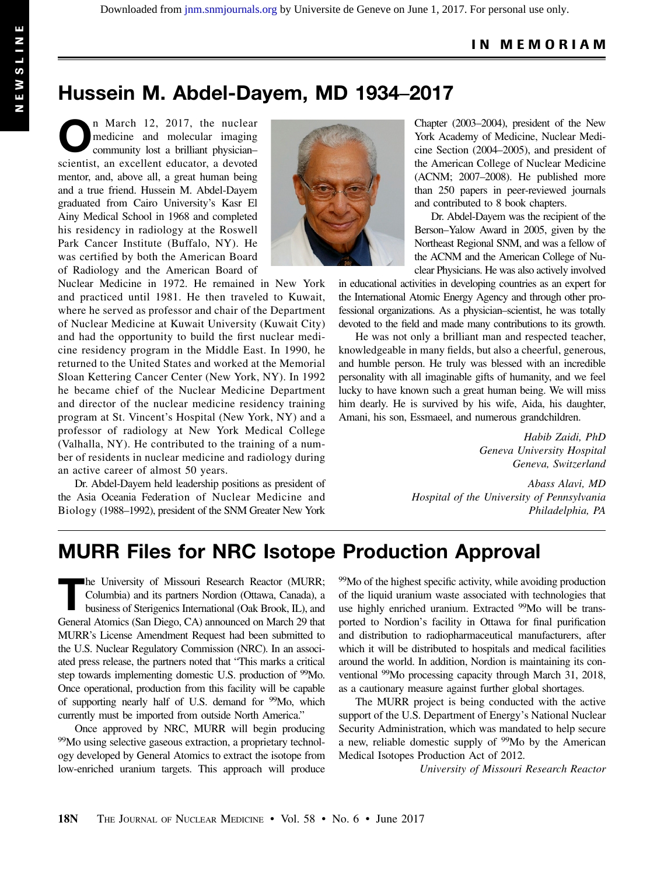## Hussein M. Abdel-Dayem, MD 1934–2017

n March 12, 2017, the nuclear medicine and molecular imaging community lost a brilliant physician– scientist, an excellent educator, a devoted mentor, and, above all, a great human being and a true friend. Hussein M. Abdel-Dayem graduated from Cairo University's Kasr El Ainy Medical School in 1968 and completed his residency in radiology at the Roswell Park Cancer Institute (Buffalo, NY). He was certified by both the American Board of Radiology and the American Board of



Nuclear Medicine in 1972. He remained in New York and practiced until 1981. He then traveled to Kuwait, where he served as professor and chair of the Department of Nuclear Medicine at Kuwait University (Kuwait City) and had the opportunity to build the first nuclear medicine residency program in the Middle East. In 1990, he returned to the United States and worked at the Memorial Sloan Kettering Cancer Center (New York, NY). In 1992 he became chief of the Nuclear Medicine Department and director of the nuclear medicine residency training program at St. Vincent's Hospital (New York, NY) and a professor of radiology at New York Medical College (Valhalla, NY). He contributed to the training of a number of residents in nuclear medicine and radiology during an active career of almost 50 years.

Dr. Abdel-Dayem held leadership positions as president of the Asia Oceania Federation of Nuclear Medicine and Biology (1988–1992), president of the SNM Greater New York

Chapter (2003–2004), president of the New York Academy of Medicine, Nuclear Medicine Section (2004–2005), and president of the American College of Nuclear Medicine (ACNM; 2007–2008). He published more than 250 papers in peer-reviewed journals and contributed to 8 book chapters.

Dr. Abdel-Dayem was the recipient of the Berson–Yalow Award in 2005, given by the Northeast Regional SNM, and was a fellow of the ACNM and the American College of Nuclear Physicians. He was also actively involved

in educational activities in developing countries as an expert for the International Atomic Energy Agency and through other professional organizations. As a physician–scientist, he was totally devoted to the field and made many contributions to its growth.

He was not only a brilliant man and respected teacher, knowledgeable in many fields, but also a cheerful, generous, and humble person. He truly was blessed with an incredible personality with all imaginable gifts of humanity, and we feel lucky to have known such a great human being. We will miss him dearly. He is survived by his wife, Aida, his daughter, Amani, his son, Essmaeel, and numerous grandchildren.

> Habib Zaidi, PhD Geneva University Hospital Geneva, Switzerland

Abass Alavi, MD Hospital of the University of Pennsylvania Philadelphia, PA

## MURR Files for NRC Isotope Production Approval

The University of Missouri Research Reactor (MURR; Columbia) and its partners Nordion (Ottawa, Canada), a business of Sterigenics International (Oak Brook, IL), and General Atomics (San Diego, CA) announced on March 29 that MURR's License Amendment Request had been submitted to the U.S. Nuclear Regulatory Commission (NRC). In an associated press release, the partners noted that "This marks a critical step towards implementing domestic U.S. production of 99Mo. Once operational, production from this facility will be capable of supporting nearly half of U.S. demand for 99Mo, which currently must be imported from outside North America."

Once approved by NRC, MURR will begin producing 99Mo using selective gaseous extraction, a proprietary technology developed by General Atomics to extract the isotope from low-enriched uranium targets. This approach will produce

<sup>99</sup>Mo of the highest specific activity, while avoiding production of the liquid uranium waste associated with technologies that use highly enriched uranium. Extracted <sup>99</sup>Mo will be transported to Nordion's facility in Ottawa for final purification and distribution to radiopharmaceutical manufacturers, after which it will be distributed to hospitals and medical facilities around the world. In addition, Nordion is maintaining its conventional 99Mo processing capacity through March 31, 2018, as a cautionary measure against further global shortages.

The MURR project is being conducted with the active support of the U.S. Department of Energy's National Nuclear Security Administration, which was mandated to help secure a new, reliable domestic supply of <sup>99</sup>Mo by the American Medical Isotopes Production Act of 2012.

University of Missouri Research Reactor